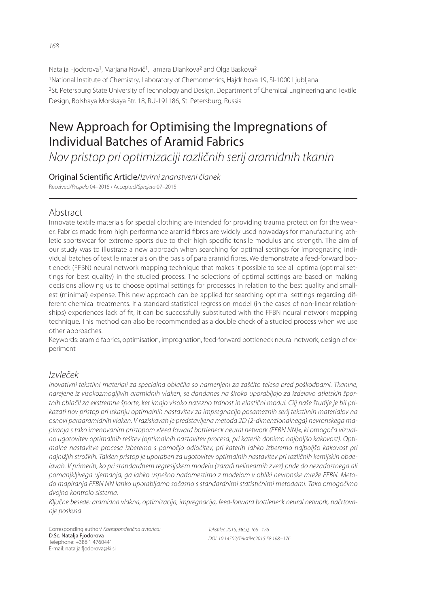Natalja Fjodorova<sup>1</sup>, Marjana Novič<sup>1</sup>, Tamara Diankova<sup>2</sup> and Olga Baskova<sup>2</sup> <sup>1</sup>National Institute of Chemistry, Laboratory of Chemometrics, Hajdrihova 19, SI-1000 Ljubljana <sup>2</sup>St. Petersburg State University of Technology and Design, Department of Chemical Engineering and Textile Design, Bolshaya Morskaya Str. 18, RU-191186, St. Petersburg, Russia

# New Approach for Optimising the Impregnations of Individual Batches of Aramid Fabrics

*Nov pristop pri optimizaciji različnih serij aramidnih tkanin*

Original Scienti! c Article/*Izvirni znanstveni članek* Received/*Prispelo* 04–2015 • Accepted/*Sprejeto* 07–2015

# Abstract

Innovate textile materials for special clothing are intended for providing trauma protection for the wearer. Fabrics made from high performance aramid fibres are widely used nowadays for manufacturing athletic sportswear for extreme sports due to their high specific tensile modulus and strength. The aim of our study was to illustrate a new approach when searching for optimal settings for impregnating individual batches of textile materials on the basis of para aramid fibres. We demonstrate a feed-forward bottleneck (FFBN) neural network mapping technique that makes it possible to see all optima (optimal settings for best quality) in the studied process. The selections of optimal settings are based on making decisions allowing us to choose optimal settings for processes in relation to the best quality and smallest (minimal) expense. This new approach can be applied for searching optimal settings regarding different chemical treatments. If a standard statistical regression model (in the cases of non-linear relationships) experiences lack of fit, it can be successfully substituted with the FFBN neural network mapping technique. This method can also be recommended as a double check of a studied process when we use other approaches.

Keywords: aramid fabrics, optimisation, impregnation, feed-forward bottleneck neural network, design of experiment

# *Izvleček*

*Inovativni tekstilni materiali za specialna oblačila so namenjeni za zaščito telesa pred poškodbami. Tkanine, narejene iz visokozmogljivih aramidnih vlaken, se dandanes na široko uporabljajo za izdelavo atletskih športnih oblačil za ekstremne športe, ker imajo visoko natezno trdnost in elastični modul. Cilj naše študije je bil prikazati nov pristop pri iskanju optimalnih nastavitev za impregnacijo posameznih serij tekstilnih materialov na osnovi paraaramidnih vlaken. V raziskavah je predstavljena metoda 2D (2-dimenzionalnega) nevronskega mapiranja s tako imenovanim pristopom »feed foward bottleneck neural network (FFBN NN)«, ki omogoča vizualno ugotovitev optimalnih rešitev (optimalnih nastavitev procesa, pri katerih dobimo najboljšo kakovost). Optimalne nastavitve procesa izberemo s pomočjo odločitev, pri katerih lahko izberemo najboljšo kakovost pri najnižjih stroških. Takšen pristop je uporaben za ugotovitev optimalnih nastavitev pri različnih kemijskih obdelavah. V primerih, ko pri standardnem regresijskem modelu (zaradi nelinearnih zvez) pride do nezadostnega ali pomanjkljivega ujemanja, ga lahko uspešno nadomestimo z modelom v obliki nevronske mreže FFBN. Metodo mapiranja FFBN NN lahko uporabljamo sočasno s standardnimi statističnimi metodami. Tako omogočimo dvojno kontrolo sistema.*

*Ključne besede: aramidna vlakna, optimizacija, impregnacija, feed-forward bottleneck neural network, načrtovanje poskusa*

Corresponding author/ *Korespondenčna avtorica:* D.Sc. Natalja Fjodorova Telephone: +386 1 4760441 E-mail: natalja.fjodorova@ki.si

*Tekstilec 2015,* 58*(3), 168−176 DOI: 10.14502/Tekstilec2015.58.168−176*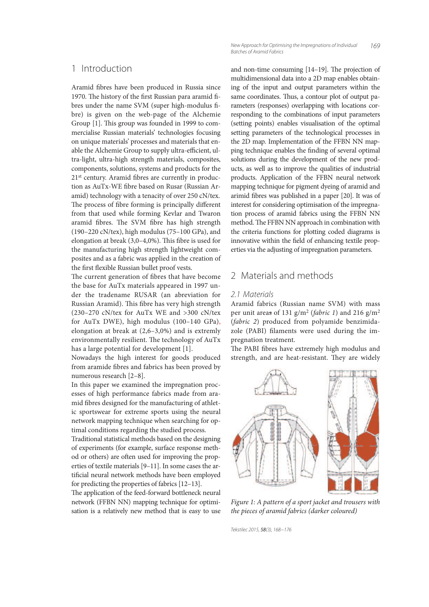#### 1 Introduction

Aramid fibres have been produced in Russia since 1970. The history of the first Russian para aramid fibres under the name SVM (super high-modulus fibre) is given on the web-page of the Alchemie Group  $[1]$ . This group was founded in 1999 to commercialise Russian materials' technologies focusing on unique materials' processes and materials that enable the Alchemie Group to supply ultra-efficient, ultra-light, ultra-high strength materials, composites, components, solutions, systems and products for the 21<sup>st</sup> century. Aramid fibres are currently in production as AuTx-WE fibre based on Rusar (Russian Aramid) technology with a tenacity of over 250 cN/tex. The process of fibre forming is principally different from that used while forming Kevlar and Twaron aramid fibres. The SVM fibre has high strength (190–220 cN/tex), high modulus (75–100 GPa), and elongation at break  $(3,0-4,0\%)$ . This fibre is used for the manufacturing high strength lightweight composites and as a fabric was applied in the creation of the first flexible Russian bullet proof vests.

The current generation of fibres that have become the base for AuTx materials appeared in 1997 under the tradename RUSAR (an abreviation for Russian Aramid). This fibre has very high strength  $(230-270 \text{ cN/tex}$  for AuTx WE and  $>300 \text{ cN/tex}$ for AuTx DWE), high modulus (100–140 GPa), elongation at break at (2,6–3,0%) and is extremly environmentally resilient. The technology of AuTx has a large potential for development [1].

Nowadays the high interest for goods produced from aramide fibres and fabrics has been proved by numerous research [2–8].

In this paper we examined the impregnation processes of high performance fabrics made from aramid fibres designed for the manufacturing of athletic sportswear for extreme sports using the neural network mapping technique when searching for optimal conditions regarding the studied process.

Traditional statistical methods based on the designing of experiments (for example, surface response method or others) are often used for improving the properties of textile materials [9–11]. In some cases the artificial neural network methods have been employed for predicting the properties of fabrics [12–13].

The application of the feed-forward bottleneck neural network (FFBN NN) mapping technique for optimisation is a relatively new method that is easy to use

*169 New Approach for Optimising the Impregnations of Individual Batches of Aramid Fabrics*

and non-time consuming  $[14–19]$ . The projection of multidimensional data into a 2D map enables obtaining of the input and output parameters within the same coordinates. Thus, a contour plot of output parameters (responses) overlapping with locations corresponding to the combinations of input parameters (setting points) enables visualisation of the optimal setting parameters of the technological processes in the 2D map. Implementation of the FFBN NN mapping technique enables the finding of several optimal solutions during the development of the new products, as well as to improve the qualities of industrial products. Application of the FFBN neural network mapping technique for pigment dyeing of aramid and arimid fibres was published in a paper [20]. It was of interest for considering optimisation of the impregnation process of aramid fabrics using the FFBN NN method. The FFBN NN approach in combination with the criteria functions for plotting coded diagrams is innovative within the field of enhancing textile properties via the adjusting of impregnation parameters.

### 2 Materials and methods

#### *2.1 Materials*

Aramid fabrics (Russian name SVM) with mass per unit areas of 131  $g/m^2$  (fabric 1) and 216  $g/m^2$ (fabric 2) produced from polyamide benzimidazole (PABI) filaments were used during the impregnation treatment.

The PABI fibres have extremely high modulus and strength, and are heat-resistant. They are widely



Figure 1: A pattern of a sport jacket and trousers with the pieces of aramid fabrics (darker coloured)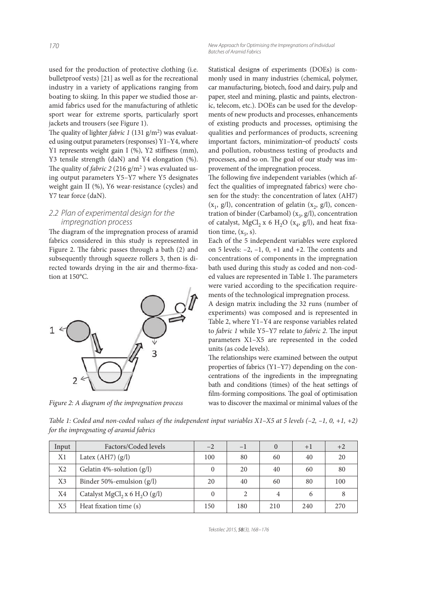used for the production of protective clothing (i.e. bulletproof vests) [21] as well as for the recreational industry in a variety of applications ranging from boating to skiing. In this paper we studied those aramid fabrics used for the manufacturing of athletic sport wear for extreme sports, particularly sport jackets and trousers (see Figure 1).

The quality of lighter *fabric* 1 (131  $g/m<sup>2</sup>$ ) was evaluated using output parameters (responses) Y1–Y4, where Y1 represents weight gain I (%), Y2 stiffness (mm), Y3 tensile strength (daN) and Y4 elongation (%). The quality of *fabric* 2 (216  $g/m^2$  ) was evaluated using output parameters Y5–Y7 where Y5 designates weight gain II (%), Y6 wear-resistanсe (cycles) and Y7 tear force (daN).

#### *2.2 Plan of experimental design for the impregnation process*

The diagram of the impregnation process of aramid fabrics considered in this study is represented in Figure 2. The fabric passes through a bath  $(2)$  and subsequently through squeeze rollers 3, then is directed towards drying in the air and thermo-fixation at 150°C.



Figure 2: A diagram of the impregnation process

Statistical designs of experiments (DOEs) is commonly used in many industries (chemical, polymer, car manufacturing, biotech, food and dairy, pulp and paper, steel and mining, plastic and paints, electronic, telecom, etc.). DOEs can be used for the developments of new products and processes, enhancements of existing products and processes, optimising the qualities and performances of products, screening important factors, minimization-of products' costs and pollution, robustness testing of products and processes, and so on. The goal of our study was improvement of the impregnation process.

The following five independent variables (which affect the qualities of impregnated fabrics) were chosen for the study: the concentration of latex (AH7)  $(x_1, g/l)$ , concentration of gelatin  $(x_2, g/l)$ , concentration of binder (Carbamol)  $(x_3, g/l)$ , concentration of catalyst,  $MgCl_2 x$  6 H<sub>2</sub>O ( $x_4$ ,  $g/l$ ), and heat fixation time,  $(x_5, s)$ .

Each of the 5 independent variables were explored on 5 levels:  $-2$ ,  $-1$ ,  $0$ ,  $+1$  and  $+2$ . The contents and concentrations of components in the impregnation bath used during this study as coded and non-coded values are represented in Table 1. The parameters were varied according to the specification requirements of the technological impregnation process.

A design matrix including the 32 runs (number of experiments) was composed and is represented in Table 2, where Y1–Y4 are response variables related to fabric 1 while Y5-Y7 relate to fabric 2. The input parameters X1–X5 are represented in the coded units (as code levels).

The relationships were examined between the output properties of fabrics (Y1–Y7) depending on the concentrations of the ingredients in the impregnating bath and conditions (times) of the heat settings of film-forming compositions. The goal of optimisation was to discover the maximal or minimal values of the

Table 1: Coded and non-coded values of the independent input variables  $X1-X5$  at 5 levels  $(-2, -1, 0, +1, +2)$ for the impregnating of aramid fabrics

| Input          | Factors/Coded levels                                  | $-2$ | $-1$ |     | $+1$ | $+2$ |
|----------------|-------------------------------------------------------|------|------|-----|------|------|
| X1             | Latex $(AH7) (g/l)$                                   | 100  | 80   | 60  | 40   | 20   |
| X <sub>2</sub> | Gelatin 4%-solution (g/l)                             |      | 20   | 40  | 60   | 80   |
| X <sub>3</sub> | Binder 50%-emulsion $(g/l)$                           | 20   | 40   | 60  | 80   | 100  |
| X4             | Catalyst MgCl <sub>2</sub> x 6 H <sub>2</sub> O (g/l) |      |      | 4   | 6    |      |
| X5             | Heat fixation time (s)                                | 150  | 180  | 210 | 240  | 270  |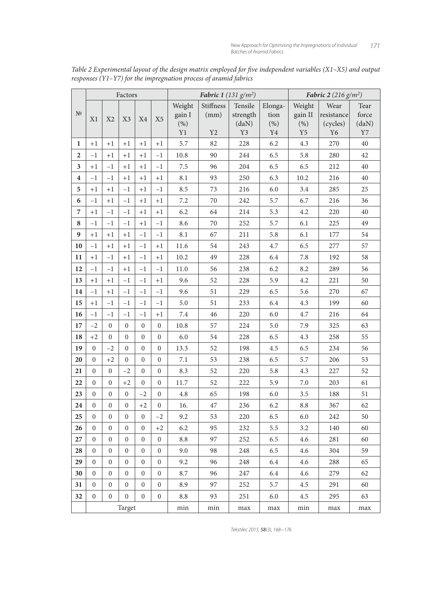|                         | Factors          |                  |                  |                  |                  | Fabric 1 (131 $g/m^2$ ) |                  |          | <b>Fabric 2</b> (216 $g/m^2$ ) |          |                |          |
|-------------------------|------------------|------------------|------------------|------------------|------------------|-------------------------|------------------|----------|--------------------------------|----------|----------------|----------|
|                         |                  |                  |                  |                  |                  | Weight                  | <b>Stiffness</b> | Tensile  | Elonga-                        | Weight   | Wear           | Tear     |
| N <sup>0</sup>          | X1               | X <sub>2</sub>   | X3               | X4               | X <sub>5</sub>   | gain I                  | (mm)             | strength | tion                           | gain II  | resistance     | force    |
|                         |                  |                  |                  |                  |                  | (% )                    |                  | (daN)    | (% )                           | (%)      | (cycles)       | (daN)    |
|                         |                  |                  |                  |                  |                  | Y1                      | Y2               | Y3       | Y <sub>4</sub>                 | $\rm Y5$ | Y <sub>6</sub> | $\rm Y7$ |
| 1                       | $+1$             | $+1$             | $+1$             | $+1$             | $+1$             | 5.7                     | 82               | 228      | 6.2                            | 4.3      | 270            | 40       |
| 2                       | $^{-1}$          | $+1$             | $+1$             | $^{+1}$          | $-1$             | 10.8                    | 90               | 244      | 6.5                            | 5.8      | 280            | 42       |
| 3                       | $+1$             | $-1$             | $+1$             | $+1$             | $^{-1}$          | 7.5                     | 96               | 204      | 6.5                            | 6.5      | 212            | 40       |
| $\overline{\mathbf{4}}$ | $-1$             | $-1$             | $+1$             | $+1$             | $+1$             | 8.1                     | 93               | 250      | 6.3                            | 10.2     | 216            | 40       |
| 5                       | $+1$             | $+1$             | $-1$             | $+1$             | $-1$             | 8.5                     | 73               | 216      | 6.0                            | 3.4      | 285            | 25       |
| 6                       | $-1$             | $+1$             | $-1$             | $+1$             | $+1$             | 7.2                     | 70               | 242      | 5.7                            | 6.7      | 216            | 36       |
| 7                       | $+1$             | $-1$             | $-1$             | $+1$             | $+1$             | 6.2                     | 64               | 214      | 5.3                            | 4.2      | 220            | 40       |
| 8                       | $-1$             | $-1$             | $-1$             | $+1$             | $-1$             | 8.6                     | 70               | 252      | 5.7                            | 6.1      | 225            | 49       |
| 9                       | $+1$             | $+1$             | $+1$             | $-1$             | $-1$             | 8.1                     | 67               | 211      | 5.8                            | 6.1      | 177            | 54       |
| 10                      | $-1$             | $+1$             | $+1$             | $^{-1}$          | $+1$             | 11.6                    | 54               | 243      | 4.7                            | 6.5      | 277            | 57       |
| 11                      | $+1$             | $-1$             | $+1$             | $-1$             | $+1$             | 10.2                    | 49               | 228      | 6.4                            | 7.8      | 192            | 58       |
| 12                      | $-1$             | $-1$             | $+1$             | $-1$             | $-1$             | 11.0                    | 56               | 238      | 6.2                            | 8.2      | 289            | 56       |
| 13                      | $+1$             | $+1$             | $-1$             | $^{-1}$          | $+1$             | 9.6                     | 52               | 228      | 5.9                            | 4.2      | 221            | 50       |
| 14                      | $-1$             | $+1$             | $-1$             | $-1$             | $-1$             | 9.6                     | 51               | 229      | 6.5                            | 5.6      | 270            | 67       |
| 15                      | $+1$             | $-1$             | $-1$             | $-1$             | $-1$             | 5.0                     | 51               | 233      | 6.4                            | 4.3      | 199            | 60       |
| 16                      | $-1$             | $^{-1}$          | $-1$             | $^{-1}$          | $+1$             | 7.4                     | 46               | 220      | 6.0                            | 4.7      | 216            | 64       |
| 17                      | $-2$             | $\overline{0}$   | $\mathbf{0}$     | $\mathbf{0}$     | $\mathbf{0}$     | 10.8                    | 57               | 224      | 5.0                            | 7.9      | 325            | 63       |
| 18                      | $+2$             | $\overline{0}$   | $\mathbf{0}$     | $\mathbf{0}$     | $\mathbf{0}$     | 6.0                     | 54               | 228      | 6.5                            | 4.3      | 258            | 55       |
| 19                      | $\mathbf{0}$     | $-2$             | $\mathbf{0}$     | $\boldsymbol{0}$ | $\boldsymbol{0}$ | 13.3                    | 52               | 198      | 4.5                            | 6.5      | 234            | 56       |
| 20                      | $\mathbf{0}$     | $+2$             | $\mathbf{0}$     | $\mathbf{0}$     | $\mathbf{0}$     | 7.1                     | 53               | 238      | 6.5                            | 5.7      | 206            | 53       |
| 21                      | $\boldsymbol{0}$ | $\mathbf{0}$     | $-2$             | $\overline{0}$   | $\mathbf{0}$     | 8.3                     | 52               | 220      | 5.8                            | 4.3      | 227            | 52       |
| 22                      | $\mathbf{0}$     | $\overline{0}$   | $+2$             | $\mathbf{0}$     | $\mathbf{0}$     | 11.7                    | 52               | 222      | 5.9                            | 7.0      | 203            | 61       |
| 23                      | $\mathbf{0}$     | $\boldsymbol{0}$ | $\boldsymbol{0}$ | $-2$             | $\boldsymbol{0}$ | 4.8                     | 65               | 198      | 6.0                            | 3.5      | 188            | 51       |
| 24                      | $\overline{0}$   | $\mathbf{0}$     | $\overline{0}$   | $+2$             | $\overline{0}$   | 16.                     | 47               | 236      | 6.2                            | 8.8      | 367            | 62       |
| 25                      | $\boldsymbol{0}$ | $\boldsymbol{0}$ | $\boldsymbol{0}$ | $\boldsymbol{0}$ | $-2$             | 9.2                     | 53               | 220      | 6.5                            | 6.0      | 242            | 50       |
| 26                      | $\overline{0}$   | $\overline{0}$   | $\overline{0}$   | $\mathbf{0}$     | $+2$             | 6.2                     | 95               | 232      | 5.5                            | 3.2      | 140            | 60       |
| 27                      | $\overline{0}$   | $\overline{0}$   | $\boldsymbol{0}$ | $\boldsymbol{0}$ | $\overline{0}$   | 8.8                     | 97               | 252      | 6.5                            | 4.6      | 281            | 60       |
| 28                      | $\overline{0}$   | $\overline{0}$   | $\boldsymbol{0}$ | $\overline{0}$   | $\boldsymbol{0}$ | 9.0                     | 98               | 248      | 6.5                            | 4.6      | 304            | 59       |
| 29                      | $\overline{0}$   | $\mathbf{0}$     | $\overline{0}$   | $\mathbf{0}$     | $\boldsymbol{0}$ | 9.2                     | 96               | 248      | 6.4                            | 4.6      | 288            | 65       |
| 30                      | $\overline{0}$   | $\overline{0}$   | $\overline{0}$   | $\boldsymbol{0}$ | $\boldsymbol{0}$ | 8.7                     | 96               | 247      | 6.4                            | 4.6      | 279            | 62       |
| 31                      | $\overline{0}$   | $\overline{0}$   | $\boldsymbol{0}$ | $\overline{0}$   | $\boldsymbol{0}$ | 8.9                     | 97               | 252      | 5.7                            | 4.5      | 291            | 60       |
| 32                      | $\overline{0}$   | $\overline{0}$   | $\Omega$         | $\overline{0}$   | $\boldsymbol{0}$ | 8.8                     | 93               | 251      | 6.0                            | 4.5      | 295            | 63       |
|                         | Target           |                  |                  |                  |                  | min                     | min              | max      | max                            | min      | max            | max      |

Table 2 Experimental layout of the design matrix employed for five independent variables (X1-X5) and output responses (Y1–Y7) for the impregnation process of aramid fabrics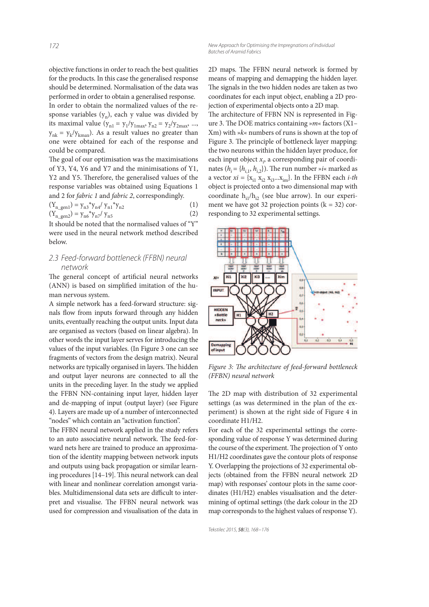objective functions in order to reach the best qualities for the products. In this case the generalised response should be determined. Normalisation of the data was performed in order to obtain a generalised response. In order to obtain the normalized values of the response variables  $(y_n)$ , each y value was divided by its maximal value  $(y_{n1} = y_1/y_{1max}, y_{n2} = y_2/y_{2max}, ...,$  $y_{nk} = y_k / y_{kmax}$ ). As a result values no greater than one were obtained for each of the response and could be compared.

The goal of our optimisation was the maximisations of Y3, Y4, Y6 and Y7 and the minimisations of Y1, Y2 and Y5. Therefore, the generalised values of the response variables was obtained using Equations 1 and 2 for fabric 1 and fabric 2, correspondingly.

$$
(Y_{n\_gen1}) = y_{n3} * y_{n4} / y_{n1} * y_{n2}
$$
  
\n
$$
(Y_{n\_gen2}) = y_{n6} * y_{n7} / y_{n5}
$$
  
\n(1)

It should be noted that the normalised values of "Y" were used in the neural network method described below.

#### *2.3 Feed-forward bottleneck (FFBN) neural network*

The general concept of artificial neural networks (ANN) is based on simplified imitation of the human nervous system.

A simple network has a feed-forward structure: signals flow from inputs forward through any hidden units, eventually reaching the output units. Input data are organised as vectors (based on linear algebra). In other words the input layer serves for introducing the values of the input variables. (In Figure 3 one can see fragments of vectors from the design matrix). Neural networks are typically organised in layers. The hidden and output layer neurons are connected to all the units in the preceding layer. In the study we applied the FFBN NN-containing input layer, hidden layer and de-mapping of input (output layer) (see Figure 4). Layers are made up of a number of interconnected "nodes" which contain an "activation function".

The FFBN neural network applied in the study refers to an auto associative neural network. The feed-forward nets here are trained to produce an approximation of the identity mapping between network inputs and outputs using back propagation or similar learning procedures  $[14–19]$ . This neural network can deal with linear and nonlinear correlation amongst variables. Multidimensional data sets are difficult to interpret and visualise. The FFBN neural network was used for compression and visualisation of the data in 2D maps. The FFBN neural network is formed by means of mapping and demapping the hidden layer. The signals in the two hidden nodes are taken as two coordinates for each input object, enabling a 2D projection of experimental objects onto a 2D map.

The architecture of FFBN NN is represented in Figure 3. The DOE matrics containing » $m$ « factors  $(X1 -$ Xm) with »k« numbers of runs is shown at the top of Figure 3. The principle of bottleneck layer mapping: the two neurons within the hidden layer produce, for each input object  $x_i$ , a corresponding pair of coordinates ( $h_i = \{h_{i,1}, h_{i,2}\}\)$ . The run number »*i*« marked as a vector  $xi = \{x_{i1} x_{i2} x_{i3}...x_{im}\}\.$  In the FFBN each *i-th* object is projected onto a two dimensional map with coordinate  $h_{i1}/h_{i2}$  (see blue arrow). In our experiment we have got 32 projection points  $(k = 32)$  corresponding to 32 experimental settings.



Figure 3: The architecture of feed-forward bottleneck (FFBN) neural network

The 2D map with distribution of 32 experimental settings (as was determined in the plan of the experiment) is shown at the right side of Figure 4 in coordinate H1/H2.

For each of the 32 experimental settings the corresponding value of response Y was determined during the course of the experiment. The projection of Y onto H1/H2 coordinates gave the contour plots of response Y. Overlapping the projections of 32 experimental objects (obtained from the FFBN neural network 2D map) with responses' contour plots in the same coordinates (H1/H2) enables visualisation and the determining of optimal settings (the dark colour in the 2D map corresponds to the highest values of response Y).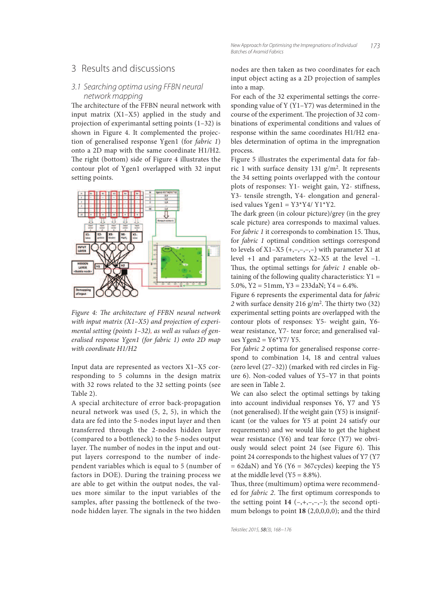### 3 Results and discussions

#### *3.1 Searching optima using FFBN neural network mapping*

The architecture of the FFBN neural network with input matrix (X1–X5) applied in the study and projection of experimantal setting points (1–32) is shown in Figure 4. It complemented the projection of generalised response Ygen1 (for fabric 1) onto a 2D map with the same coordinate H1/H2. The right (bottom) side of Figure 4 illustrates the contour plot of Ygen1 overlapped with 32 input setting points.



Figure 4: The architecture of FFBN neural network with input matrix (X1-X5) and projection of experimental setting (points 1–32), as well as values of generalised response Ygen1 (for fabric 1) onto 2D map with coordinate H1/H2

Input data are represented as vectors X1–X5 corresponding to 5 columns in the design matrix with 32 rows related to the 32 setting points (see Table 2).

A special architecture of error back-propagation neural network was used (5, 2, 5), in which the data are fed into the 5-nodes input layer and then transferred through the 2-nodes hidden layer (compared to a bottleneck) to the 5-nodes output layer. The number of nodes in the input and output layers correspond to the number of independent variables which is equal to 5 (number of factors in DOE). During the training process we are able to get within the output nodes, the values more similar to the input variables of the samples, after passing the bottleneck of the twonode hidden layer. The signals in the two hidden nodes are then taken as two coordinates for each input object acting as a 2D projection of samples into a map.

For each of the 32 experimental settings the corresponding value of Y (Y1–Y7) was determined in the course of the experiment. The projection of 32 combinations of experimental conditions and values of response within the same coordinates H1/H2 enables determination of optima in the impregnation process.

Figure 5 illustrates the experimental data for fabric 1 with surface density 131 g/m<sup>2</sup> . It represents the 34 setting points overlapped with the contour plots of responses: Y1- weight gain, Y2- stiffness, Y3- tensile strength, Y4- elongation and generalised values Ygen $1 = Y3*Y4/Y1*Y2$ .

The dark green (in colour picture)/grey (in the grey scale picture) area corresponds to maximal values. For *fabric 1* it corresponds to combination 15. Thus, for fabric 1 optimal condition settings correspond to levels of  $X1-X5$   $(+,-,-,-,-)$  with parameter X1 at level +1 and parameters Х2–Х5 at the level –1. Thus, the optimal settings for  $fabric$  1 enable obtaining of the following quality characteristics:  $Y1 =$ 5.0%, Y2 = 51mm, Y3 = 233daN; Y4 = 6.4%.

Figure 6 represents the experimental data for fabric  $2$  with surface density  $216$  g/m<sup>2</sup>. The thirty two (32) experimental setting points are overlapped with the contour plots of responses: Y5- weight gain, Y6 wear resistance, Y7- tear force; and generalised values Ygen $2 = Y6*Y7/Y5$ .

For fabric 2 optima for generalised response correspond to combination 14, 18 and central values (zero level (27–32)) (marked with red circles in Figure 6). Non-coded values of Y5–Y7 in that points are seen in Table 2.

We can also select the optimal settings by taking into account individual responses Y6, Y7 and Y5 (not generalised). If the weight gain (Y5) is insignificant (or the values for Y5 at point 24 satisfy our requrements) and we would like to get the highest wear resistance (Y6) and tear force (Y7) we obviously would select point 24 (see Figure 6). This point 24 corresponds to the highest values of Y7 (Y7  $= 62$ daN) and Y6 (Y6  $= 367$ cycles) keeping the Y5 at the middle level  $(Y5 = 8.8\%)$ .

Thus, three (multimum) optima were recommended for *fabric 2*. The first optimum corresponds to the setting point  $14$  (-,+,-,-,-); the second optimum belongs to point **18** (2,0,0,0,0); and the third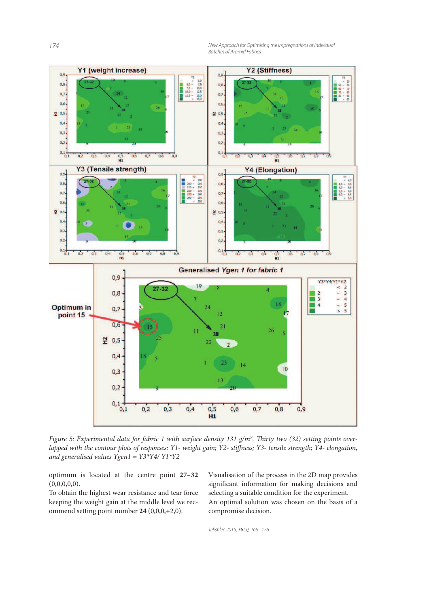*174 New Approach for Optimising the Impregnations of Individual Batches of Aramid Fabrics*



Figure 5: Experimental data for fabric 1 with surface density 131 g/m<sup>2</sup>. Thirty two (32) setting points overlapped with the contour plots of responses: Y1- weight gain; Y2- stiffness; Y3- tensile strength; Y4- elongation, and generalised values Ygen1 = Y3\*Y4/ Y1\*Y2

optimum is located at the centre point **27–32**  $(0,0,0,0,0)$ .

To obtain the highest wear resistance and tear force keeping the weight gain at the middle level we recommend setting point number **24** (0,0,0,+2,0).

Visualisation of the process in the 2D map provides significant information for making decisions and selecting a suitable condition for the experiment. An optimal solution was chosen on the basis of a compromise decision.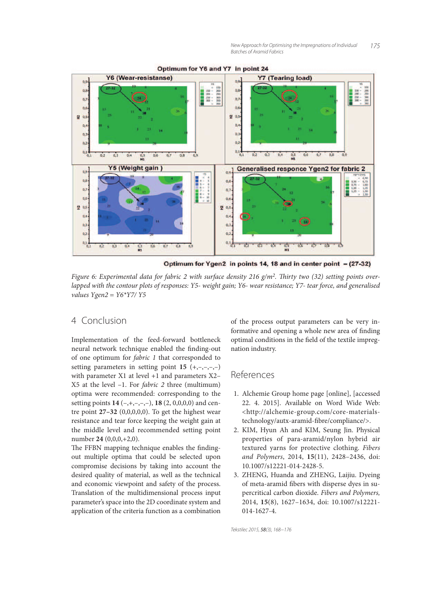

Optimum for Y6 and Y7 in point 24

Optimum for Ygen2 in points 14, 18 and in center point - (27-32)

Figure 6: Experimental data for fabric 2 with surface density 216 g/m<sup>2</sup>. Thirty two (32) setting points overlapped with the contour plots of responses: Y5- weight gain; Y6- wear resistance; Y7- tear force, and generalised values  $Ygen2 = Y6*YY7/Y5$ 

## 4 Conclusion

Implementation of the feed-forward bottleneck neural network technique enabled the finding-out of one optimum for fabric 1 that corresponded to setting parameters in setting point  $15 (+,-,-,-)$ with parameter X1 at level +1 and parameters X2-Х5 at the level –1. For fabric 2 three (multimum) optima were recommended: corresponding to the setting points **14** (–,+,–,–,–), **18** (2, 0,0,0,0) and centre point **27–32** (0,0,0,0,0). To get the highest wear resistance and tear force keeping the weight gain at the middle level and recommended setting point number **24** (0,0,0,+2,0).

The FFBN mapping technique enables the findingout multiple optima that could be selected upon compromise decisions by taking into account the desired quality of material, as well as the technical and economic viewpoint and safety of the process. Translation of the multidimensional process input parameter's space into the 2D coordinate system and application of the criteria function as a combination of the process output parameters can be very informative and opening a whole new area of finding optimal conditions in the field of the textile impregnation industry.

## References

- 1. Alchemie Group home page [online], [accessed 22. 4. 2015]. Available on Word Wide Web: <http://alchemie-group.com/core-materialstechnology/autx-aramid-fibre/compliance/>.
- 2. KIM, Hyun Ah and KIM, Seung Jin. Physical properties of para-aramid/nylon hybrid air textured yarns for protective clothing. Fibers and Polymers, 2014, **15**(11), 2428–2436, doi: 10.1007/s12221-014-2428-5.
- 3. ZHENG, Huanda and ZHENG, Laijiu. Dyeing of meta-aramid fibers with disperse dyes in supercritical carbon dioxide. Fibers and Polymers, 2014, **15**(8), 1627–1634, doi: 10.1007/s12221- 014-1627-4.